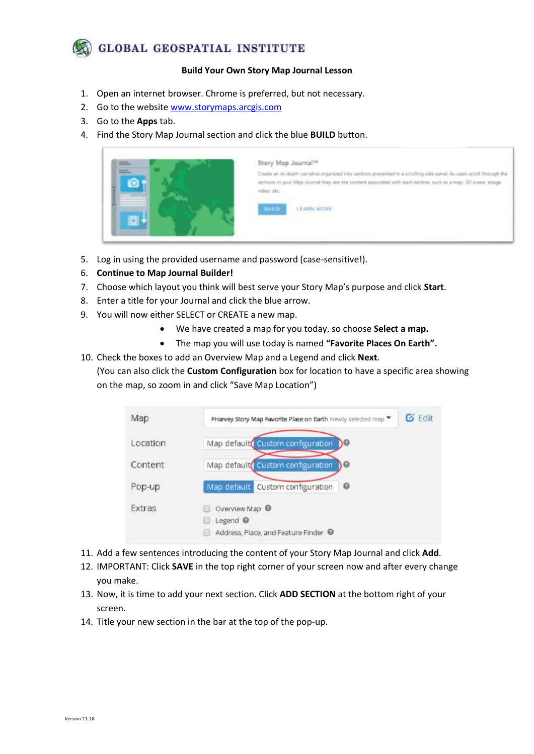## **GLOBAL GEOSPATIAL INSTITUTE**

## **Build Your Own Story Map Journal Lesson**

- 1. Open an internet browser. Chrome is preferred, but not necessary.
- 2. Go to the website [www.storymaps.arcgis.com](http://www.storymaps.arcgis.com/)
- 3. Go to the **Apps** tab.
- 4. Find the Story Map Journal section and click the blue **BUILD** button.



- 5. Log in using the provided username and password (case-sensitive!).
- 6. **Continue to Map Journal Builder!**
- 7. Choose which layout you think will best serve your Story Map's purpose and click **Start**.
- 8. Enter a title for your Journal and click the blue arrow.
- 9. You will now either SELECT or CREATE a new map.
	- We have created a map for you today, so choose **Select a map.**
	- The map you will use today is named **"Favorite Places On Earth".**
- 10. Check the boxes to add an Overview Map and a Legend and click **Next**.
	- (You can also click the **Custom Configuration** box for location to have a specific area showing on the map, so zoom in and click "Save Map Location")

| Map      | FHarvey Story Map Favorite Place on Earth Newly selected map                | $G$ Edit |
|----------|-----------------------------------------------------------------------------|----------|
| Location | Map defaulte Custom configuration<br>DØ                                     |          |
| Content  | Map default Custom configuration<br>١Θ                                      |          |
| Pop-up   | $\circ$<br>Map default<br>Custom configuration                              |          |
| Extras   | Overview Map <sup>O</sup><br>Legend @<br>Address, Place, and Feature Finder |          |

- 11. Add a few sentences introducing the content of your Story Map Journal and click **Add**.
- 12. IMPORTANT: Click **SAVE** in the top right corner of your screen now and after every change you make.
- 13. Now, it is time to add your next section. Click **ADD SECTION** at the bottom right of your screen.
- 14. Title your new section in the bar at the top of the pop-up.